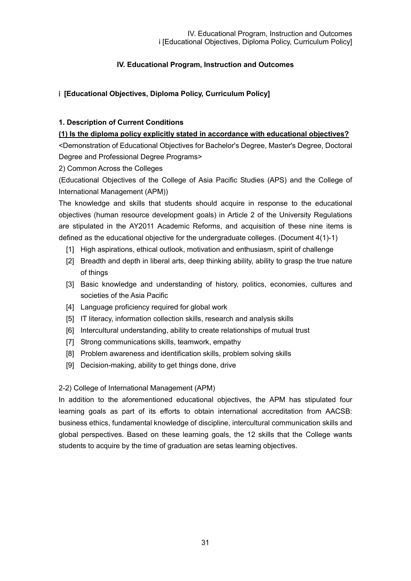# **IV. Educational Program, Instruction and Outcomes**

# ⅰ **[Educational Objectives, Diploma Policy, Curriculum Policy]**

### **1. Description of Current Conditions**

#### **(1) Is the diploma policy explicitly stated in accordance with educational objectives?**

<Demonstration of Educational Objectives for Bachelor's Degree, Master's Degree, Doctoral Degree and Professional Degree Programs>

2) Common Across the Colleges

(Educational Objectives of the College of Asia Pacific Studies (APS) and the College of International Management (APM))

The knowledge and skills that students should acquire in response to the educational objectives (human resource development goals) in Article 2 of the University Regulations are stipulated in the AY2011 Academic Reforms, and acquisition of these nine items is defined as the educational objective for the undergraduate colleges. (Document 4(1)-1)

- [1] High aspirations, ethical outlook, motivation and enthusiasm, spirit of challenge
- [2] Breadth and depth in liberal arts, deep thinking ability, ability to grasp the true nature of things
- [3] Basic knowledge and understanding of history, politics, economies, cultures and societies of the Asia Pacific
- [4] Language proficiency required for global work
- [5] IT literacy, information collection skills, research and analysis skills
- [6] Intercultural understanding, ability to create relationships of mutual trust
- [7] Strong communications skills, teamwork, empathy
- [8] Problem awareness and identification skills, problem solving skills
- [9] Decision-making, ability to get things done, drive

### 2-2) College of International Management (APM)

In addition to the aforementioned educational objectives, the APM has stipulated four learning goals as part of its efforts to obtain international accreditation from AACSB: business ethics, fundamental knowledge of discipline, intercultural communication skills and global perspectives. Based on these learning goals, the 12 skills that the College wants students to acquire by the time of graduation are setas learning objectives.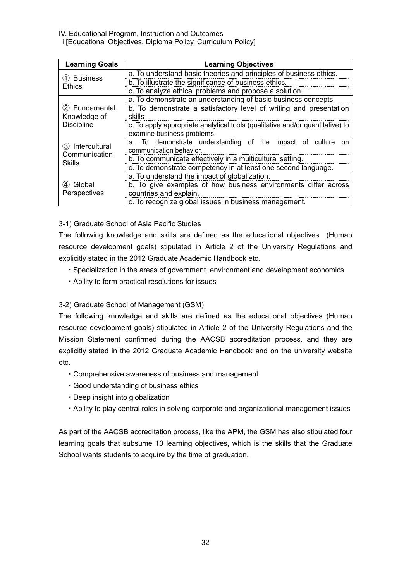| <b>Learning Goals</b>                      | <b>Learning Objectives</b>                                                                                  |  |  |
|--------------------------------------------|-------------------------------------------------------------------------------------------------------------|--|--|
| 1 Business<br>Ethics                       | a. To understand basic theories and principles of business ethics.                                          |  |  |
|                                            | b. To illustrate the significance of business ethics.                                                       |  |  |
|                                            | c. To analyze ethical problems and propose a solution.                                                      |  |  |
|                                            | a. To demonstrate an understanding of basic business concepts                                               |  |  |
| 2 Fundamental                              | b. To demonstrate a satisfactory level of writing and presentation                                          |  |  |
| Knowledge of                               | skills                                                                                                      |  |  |
| <b>Discipline</b>                          | c. To apply appropriate analytical tools (qualitative and/or quantitative) to<br>examine business problems. |  |  |
| 3 Intercultural<br>Communication<br>Skills | a. To demonstrate understanding of the impact of culture<br>on<br>communication behavior.                   |  |  |
|                                            | b. To communicate effectively in a multicultural setting.                                                   |  |  |
|                                            | c. To demonstrate competency in at least one second language.                                               |  |  |
|                                            | a. To understand the impact of globalization.                                                               |  |  |
| Global                                     | b. To give examples of how business environments differ across                                              |  |  |
| Perspectives                               | countries and explain.                                                                                      |  |  |
|                                            | c. To recognize global issues in business management.                                                       |  |  |

# 3-1) Graduate School of Asia Pacific Studies

The following knowledge and skills are defined as the educational objectives (Human resource development goals) stipulated in Article 2 of the University Regulations and explicitly stated in the 2012 Graduate Academic Handbook etc.

- ・Specialization in the areas of government, environment and development economics
- ・Ability to form practical resolutions for issues

# 3-2) Graduate School of Management (GSM)

The following knowledge and skills are defined as the educational objectives (Human resource development goals) stipulated in Article 2 of the University Regulations and the Mission Statement confirmed during the AACSB accreditation process, and they are explicitly stated in the 2012 Graduate Academic Handbook and on the university website etc.

- ・Comprehensive awareness of business and management
- ・Good understanding of business ethics
- ・Deep insight into globalization
- ・Ability to play central roles in solving corporate and organizational management issues

As part of the AACSB accreditation process, like the APM, the GSM has also stipulated four learning goals that subsume 10 learning objectives, which is the skills that the Graduate School wants students to acquire by the time of graduation.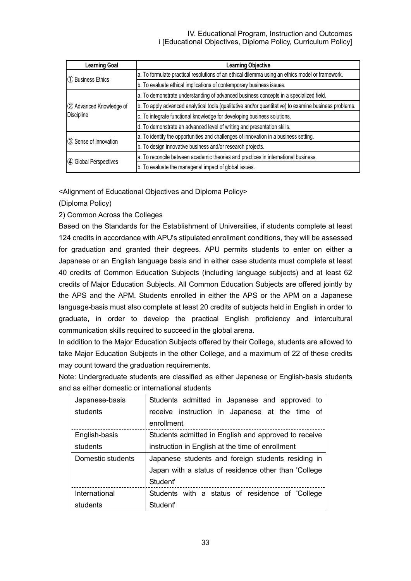| <b>Learning Goal</b>                  | <b>Learning Objective</b>                                                                             |  |  |
|---------------------------------------|-------------------------------------------------------------------------------------------------------|--|--|
| 1 Business Ethics                     | a. To formulate practical resolutions of an ethical dilemma using an ethics model or framework.       |  |  |
|                                       | b. To evaluate ethical implications of contemporary business issues.                                  |  |  |
|                                       | a. To demonstrate understanding of advanced business concepts in a specialized field.                 |  |  |
| 2 Advanced Knowledge of<br>Discipline | b. To apply advanced analytical tools (qualitative and/or quantitative) to examine business problems. |  |  |
|                                       | c. To integrate functional knowledge for developing business solutions.                               |  |  |
|                                       | d. To demonstrate an advanced level of writing and presentation skills.                               |  |  |
| 3 Sense of Innovation                 | a. To identify the opportunities and challenges of innovation in a business setting.                  |  |  |
|                                       | b. To design innovative business and/or research projects.                                            |  |  |
| 4 Global Perspectives                 | a. To reconcile between academic theories and practices in international business.                    |  |  |
|                                       | b. To evaluate the managerial impact of global issues.                                                |  |  |

<Alignment of Educational Objectives and Diploma Policy>

(Diploma Policy)

2) Common Across the Colleges

Based on the Standards for the Establishment of Universities, if students complete at least 124 credits in accordance with APU's stipulated enrollment conditions, they will be assessed for graduation and granted their degrees. APU permits students to enter on either a Japanese or an English language basis and in either case students must complete at least 40 credits of Common Education Subjects (including language subjects) and at least 62 credits of Major Education Subjects. All Common Education Subjects are offered jointly by the APS and the APM. Students enrolled in either the APS or the APM on a Japanese language-basis must also complete at least 20 credits of subjects held in English in order to graduate, in order to develop the practical English proficiency and intercultural communication skills required to succeed in the global arena.

In addition to the Major Education Subjects offered by their College, students are allowed to take Major Education Subjects in the other College, and a maximum of 22 of these credits may count toward the graduation requirements.

Note: Undergraduate students are classified as either Japanese or English-basis students and as either domestic or international students

| Japanese-basis    | Students admitted in Japanese and approved to        |  |  |  |
|-------------------|------------------------------------------------------|--|--|--|
| students          | receive instruction in Japanese at the time of       |  |  |  |
|                   | enrollment                                           |  |  |  |
| English-basis     | Students admitted in English and approved to receive |  |  |  |
| students          | instruction in English at the time of enrollment     |  |  |  |
| Domestic students | Japanese students and foreign students residing in   |  |  |  |
|                   | Japan with a status of residence other than 'College |  |  |  |
|                   | Student'                                             |  |  |  |
| International     | Students with a status of residence of 'College      |  |  |  |
| students          | Student'                                             |  |  |  |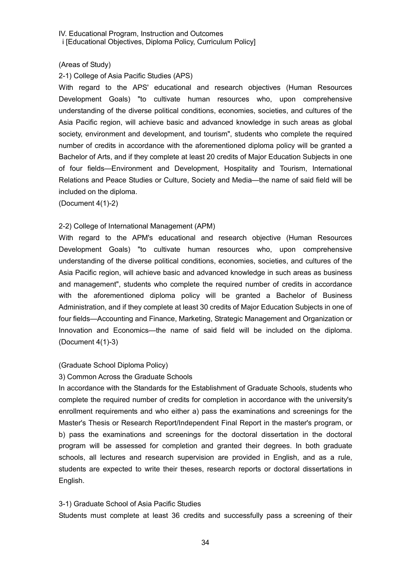#### (Areas of Study)

#### 2-1) College of Asia Pacific Studies (APS)

With regard to the APS' educational and research objectives (Human Resources Development Goals) "to cultivate human resources who, upon comprehensive understanding of the diverse political conditions, economies, societies, and cultures of the Asia Pacific region, will achieve basic and advanced knowledge in such areas as global society, environment and development, and tourism", students who complete the required number of credits in accordance with the aforementioned diploma policy will be granted a Bachelor of Arts, and if they complete at least 20 credits of Major Education Subjects in one of four fields—Environment and Development, Hospitality and Tourism, International Relations and Peace Studies or Culture, Society and Media—the name of said field will be included on the diploma.

(Document 4(1)-2)

#### 2-2) College of International Management (APM)

With regard to the APM's educational and research objective (Human Resources Development Goals) "to cultivate human resources who, upon comprehensive understanding of the diverse political conditions, economies, societies, and cultures of the Asia Pacific region, will achieve basic and advanced knowledge in such areas as business and management", students who complete the required number of credits in accordance with the aforementioned diploma policy will be granted a Bachelor of Business Administration, and if they complete at least 30 credits of Major Education Subjects in one of four fields—Accounting and Finance, Marketing, Strategic Management and Organization or Innovation and Economics—the name of said field will be included on the diploma. (Document 4(1)-3)

#### (Graduate School Diploma Policy)

#### 3) Common Across the Graduate Schools

In accordance with the Standards for the Establishment of Graduate Schools, students who complete the required number of credits for completion in accordance with the university's enrollment requirements and who either a) pass the examinations and screenings for the Master's Thesis or Research Report/Independent Final Report in the master's program, or b) pass the examinations and screenings for the doctoral dissertation in the doctoral program will be assessed for completion and granted their degrees. In both graduate schools, all lectures and research supervision are provided in English, and as a rule, students are expected to write their theses, research reports or doctoral dissertations in English.

#### 3-1) Graduate School of Asia Pacific Studies

Students must complete at least 36 credits and successfully pass a screening of their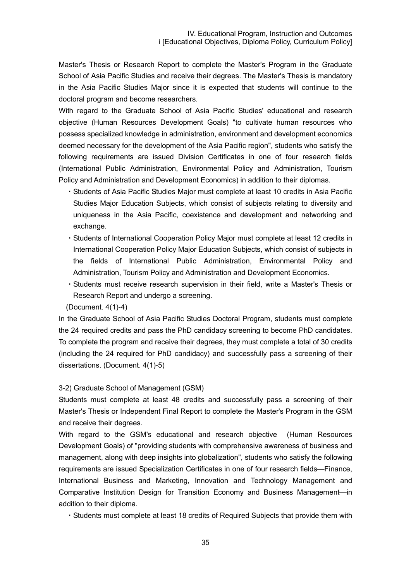Master's Thesis or Research Report to complete the Master's Program in the Graduate School of Asia Pacific Studies and receive their degrees. The Master's Thesis is mandatory in the Asia Pacific Studies Major since it is expected that students will continue to the doctoral program and become researchers.

With regard to the Graduate School of Asia Pacific Studies' educational and research objective (Human Resources Development Goals) "to cultivate human resources who possess specialized knowledge in administration, environment and development economics deemed necessary for the development of the Asia Pacific region", students who satisfy the following requirements are issued Division Certificates in one of four research fields (International Public Administration, Environmental Policy and Administration, Tourism Policy and Administration and Development Economics) in addition to their diplomas.

- ・Students of Asia Pacific Studies Major must complete at least 10 credits in Asia Pacific Studies Major Education Subjects, which consist of subjects relating to diversity and uniqueness in the Asia Pacific, coexistence and development and networking and exchange.
- ・Students of International Cooperation Policy Major must complete at least 12 credits in International Cooperation Policy Major Education Subjects, which consist of subjects in the fields of International Public Administration, Environmental Policy and Administration, Tourism Policy and Administration and Development Economics.
- ・Students must receive research supervision in their field, write a Master's Thesis or Research Report and undergo a screening.

(Document. 4(1)-4)

In the Graduate School of Asia Pacific Studies Doctoral Program, students must complete the 24 required credits and pass the PhD candidacy screening to become PhD candidates. To complete the program and receive their degrees, they must complete a total of 30 credits (including the 24 required for PhD candidacy) and successfully pass a screening of their dissertations. (Document. 4(1)-5)

#### 3-2) Graduate School of Management (GSM)

Students must complete at least 48 credits and successfully pass a screening of their Master's Thesis or Independent Final Report to complete the Master's Program in the GSM and receive their degrees.

With regard to the GSM's educational and research objective (Human Resources Development Goals) of "providing students with comprehensive awareness of business and management, along with deep insights into globalization", students who satisfy the following requirements are issued Specialization Certificates in one of four research fields—Finance, International Business and Marketing, Innovation and Technology Management and Comparative Institution Design for Transition Economy and Business Management—in addition to their diploma.

・Students must complete at least 18 credits of Required Subjects that provide them with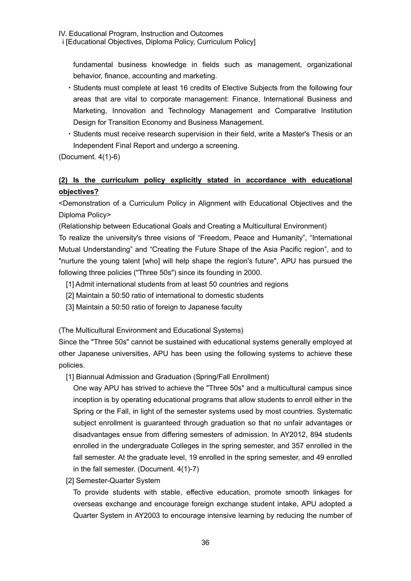fundamental business knowledge in fields such as management, organizational behavior, finance, accounting and marketing.

- ・Students must complete at least 16 credits of Elective Subjects from the following four areas that are vital to corporate management: Finance, International Business and Marketing, Innovation and Technology Management and Comparative Institution Design for Transition Economy and Business Management.
- ・Students must receive research supervision in their field, write a Master's Thesis or an Independent Final Report and undergo a screening.

(Document. 4(1)-6)

# **(2) Is the curriculum policy explicitly stated in accordance with educational objectives?**

<Demonstration of a Curriculum Policy in Alignment with Educational Objectives and the Diploma Policy>

(Relationship between Educational Goals and Creating a Multicultural Environment)

To realize the university's three visions of "Freedom, Peace and Humanity", "International Mutual Understanding" and "Creating the Future Shape of the Asia Pacific region", and to "nurture the young talent [who] will help shape the region's future", APU has pursued the following three policies ("Three 50s") since its founding in 2000.

- [1] Admit international students from at least 50 countries and regions
- [2] Maintain a 50:50 ratio of international to domestic students
- [3] Maintain a 50:50 ratio of foreign to Japanese faculty

(The Multicultural Environment and Educational Systems)

Since the "Three 50s" cannot be sustained with educational systems generally employed at other Japanese universities, APU has been using the following systems to achieve these policies.

[1] Biannual Admission and Graduation (Spring/Fall Enrollment)

One way APU has strived to achieve the "Three 50s" and a multicultural campus since inception is by operating educational programs that allow students to enroll either in the Spring or the Fall, in light of the semester systems used by most countries. Systematic subject enrollment is guaranteed through graduation so that no unfair advantages or disadvantages ensue from differing semesters of admission. In AY2012, 894 students enrolled in the undergraduate Colleges in the spring semester, and 357 enrolled in the fall semester. At the graduate level, 19 enrolled in the spring semester, and 49 enrolled in the fall semester. (Document. 4(1)-7)

[2] Semester-Quarter System

To provide students with stable, effective education, promote smooth linkages for overseas exchange and encourage foreign exchange student intake, APU adopted a Quarter System in AY2003 to encourage intensive learning by reducing the number of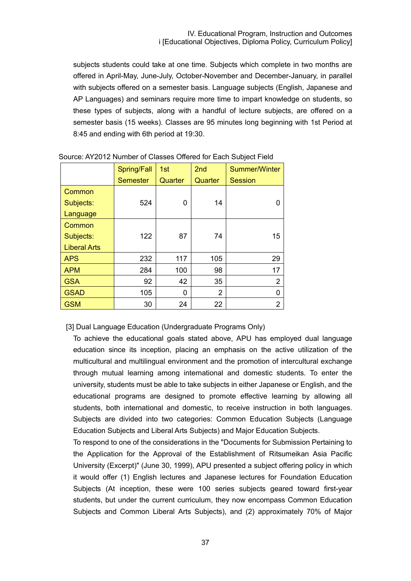subjects students could take at one time. Subjects which complete in two months are offered in April-May, June-July, October-November and December-January, in parallel with subjects offered on a semester basis. Language subjects (English, Japanese and AP Languages) and seminars require more time to impart knowledge on students, so these types of subjects, along with a handful of lecture subjects, are offered on a semester basis (15 weeks). Classes are 95 minutes long beginning with 1st Period at 8:45 and ending with 6th period at 19:30.

|                     | Spring/Fall     | 1st     | 2nd            | <b>Summer/Winter</b> |
|---------------------|-----------------|---------|----------------|----------------------|
|                     | <b>Semester</b> | Quarter | Quarter        | <b>Session</b>       |
| Common              |                 |         |                |                      |
| Subjects:           | 524             | 0       | 14             | O                    |
| Language            |                 |         |                |                      |
| Common              |                 |         |                |                      |
| Subjects:           | 122             | 87      | 74             | 15                   |
| <b>Liberal Arts</b> |                 |         |                |                      |
| <b>APS</b>          | 232             | 117     | 105            | 29                   |
| <b>APM</b>          | 284             | 100     | 98             | 17                   |
| <b>GSA</b>          | 92              | 42      | 35             | $\overline{2}$       |
| <b>GSAD</b>         | 105             | 0       | $\overline{2}$ | 0                    |
| <b>GSM</b>          | 30              | 24      | 22             | $\overline{2}$       |

Source: AY2012 Number of Classes Offered for Each Subject Field

[3] Dual Language Education (Undergraduate Programs Only)

To achieve the educational goals stated above, APU has employed dual language education since its inception, placing an emphasis on the active utilization of the multicultural and multilingual environment and the promotion of intercultural exchange through mutual learning among international and domestic students. To enter the university, students must be able to take subjects in either Japanese or English, and the educational programs are designed to promote effective learning by allowing all students, both international and domestic, to receive instruction in both languages. Subjects are divided into two categories: Common Education Subjects (Language Education Subjects and Liberal Arts Subjects) and Major Education Subjects.

To respond to one of the considerations in the "Documents for Submission Pertaining to the Application for the Approval of the Establishment of Ritsumeikan Asia Pacific University (Excerpt)" (June 30, 1999), APU presented a subject offering policy in which it would offer (1) English lectures and Japanese lectures for Foundation Education Subjects (At inception, these were 100 series subjects geared toward first-year students, but under the current curriculum, they now encompass Common Education Subjects and Common Liberal Arts Subjects), and (2) approximately 70% of Major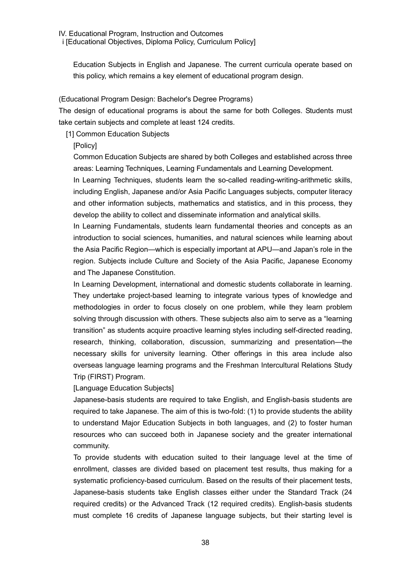Education Subjects in English and Japanese. The current curricula operate based on this policy, which remains a key element of educational program design.

# (Educational Program Design: Bachelor's Degree Programs)

The design of educational programs is about the same for both Colleges. Students must take certain subjects and complete at least 124 credits.

[1] Common Education Subjects

[Policy]

Common Education Subjects are shared by both Colleges and established across three areas: Learning Techniques, Learning Fundamentals and Learning Development.

In Learning Techniques, students learn the so-called reading-writing-arithmetic skills, including English, Japanese and/or Asia Pacific Languages subjects, computer literacy and other information subjects, mathematics and statistics, and in this process, they develop the ability to collect and disseminate information and analytical skills.

In Learning Fundamentals, students learn fundamental theories and concepts as an introduction to social sciences, humanities, and natural sciences while learning about the Asia Pacific Region—which is especially important at APU—and Japan's role in the region. Subjects include Culture and Society of the Asia Pacific, Japanese Economy and The Japanese Constitution.

In Learning Development, international and domestic students collaborate in learning. They undertake project-based learning to integrate various types of knowledge and methodologies in order to focus closely on one problem, while they learn problem solving through discussion with others. These subjects also aim to serve as a "learning transition" as students acquire proactive learning styles including self-directed reading, research, thinking, collaboration, discussion, summarizing and presentation—the necessary skills for university learning. Other offerings in this area include also overseas language learning programs and the Freshman Intercultural Relations Study Trip (FIRST) Program.

[Language Education Subjects]

Japanese-basis students are required to take English, and English-basis students are required to take Japanese. The aim of this is two-fold: (1) to provide students the ability to understand Major Education Subjects in both languages, and (2) to foster human resources who can succeed both in Japanese society and the greater international community.

To provide students with education suited to their language level at the time of enrollment, classes are divided based on placement test results, thus making for a systematic proficiency-based curriculum. Based on the results of their placement tests, Japanese-basis students take English classes either under the Standard Track (24 required credits) or the Advanced Track (12 required credits). English-basis students must complete 16 credits of Japanese language subjects, but their starting level is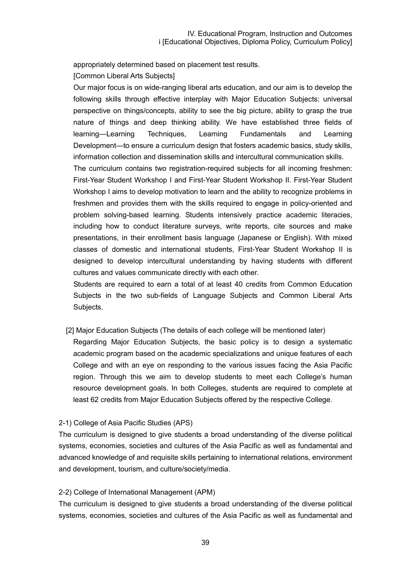appropriately determined based on placement test results.

[Common Liberal Arts Subjects]

Our major focus is on wide-ranging liberal arts education, and our aim is to develop the following skills through effective interplay with Major Education Subjects: universal perspective on things/concepts, ability to see the big picture, ability to grasp the true nature of things and deep thinking ability. We have established three fields of learning—Learning Techniques, Learning Fundamentals and Learning Development—to ensure a curriculum design that fosters academic basics, study skills, information collection and dissemination skills and intercultural communication skills.

The curriculum contains two registration-required subjects for all incoming freshmen: First-Year Student Workshop I and First-Year Student Workshop II. First-Year Student Workshop I aims to develop motivation to learn and the ability to recognize problems in freshmen and provides them with the skills required to engage in policy-oriented and problem solving-based learning. Students intensively practice academic literacies, including how to conduct literature surveys, write reports, cite sources and make presentations, in their enrollment basis language (Japanese or English). With mixed classes of domestic and international students, First-Year Student Workshop II is designed to develop intercultural understanding by having students with different cultures and values communicate directly with each other.

Students are required to earn a total of at least 40 credits from Common Education Subjects in the two sub-fields of Language Subjects and Common Liberal Arts Subjects.

[2] Major Education Subjects (The details of each college will be mentioned later)

Regarding Major Education Subjects, the basic policy is to design a systematic academic program based on the academic specializations and unique features of each College and with an eye on responding to the various issues facing the Asia Pacific region. Through this we aim to develop students to meet each College's human resource development goals. In both Colleges, students are required to complete at least 62 credits from Major Education Subjects offered by the respective College.

#### 2-1) College of Asia Pacific Studies (APS)

The curriculum is designed to give students a broad understanding of the diverse political systems, economies, societies and cultures of the Asia Pacific as well as fundamental and advanced knowledge of and requisite skills pertaining to international relations, environment and development, tourism, and culture/society/media.

#### 2-2) College of International Management (APM)

The curriculum is designed to give students a broad understanding of the diverse political systems, economies, societies and cultures of the Asia Pacific as well as fundamental and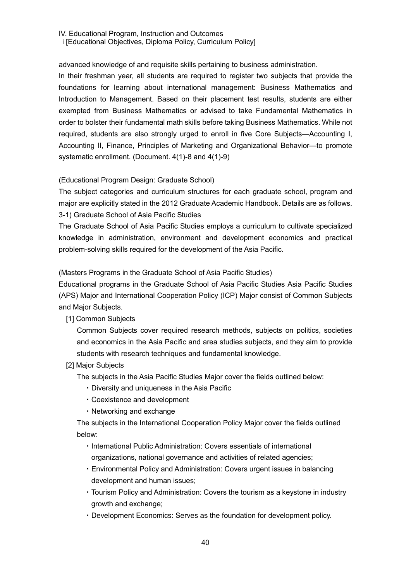advanced knowledge of and requisite skills pertaining to business administration.

In their freshman year, all students are required to register two subjects that provide the foundations for learning about international management: Business Mathematics and Introduction to Management. Based on their placement test results, students are either exempted from Business Mathematics or advised to take Fundamental Mathematics in order to bolster their fundamental math skills before taking Business Mathematics. While not required, students are also strongly urged to enroll in five Core Subjects—Accounting I, Accounting II, Finance, Principles of Marketing and Organizational Behavior—to promote systematic enrollment. (Document. 4(1)-8 and 4(1)-9)

# (Educational Program Design: Graduate School)

The subject categories and curriculum structures for each graduate school, program and major are explicitly stated in the 2012 Graduate Academic Handbook. Details are as follows. 3-1) Graduate School of Asia Pacific Studies

The Graduate School of Asia Pacific Studies employs a curriculum to cultivate specialized knowledge in administration, environment and development economics and practical problem-solving skills required for the development of the Asia Pacific.

(Masters Programs in the Graduate School of Asia Pacific Studies)

Educational programs in the Graduate School of Asia Pacific Studies Asia Pacific Studies (APS) Major and International Cooperation Policy (ICP) Major consist of Common Subjects and Major Subjects.

[1] Common Subjects

Common Subjects cover required research methods, subjects on politics, societies and economics in the Asia Pacific and area studies subjects, and they aim to provide students with research techniques and fundamental knowledge.

[2] Major Subjects

The subjects in the Asia Pacific Studies Major cover the fields outlined below:

- ・Diversity and uniqueness in the Asia Pacific
- ・Coexistence and development
- ・Networking and exchange

The subjects in the International Cooperation Policy Major cover the fields outlined below:

- ・International Public Administration: Covers essentials of international organizations, national governance and activities of related agencies;
- ・Environmental Policy and Administration: Covers urgent issues in balancing development and human issues;
- ・Tourism Policy and Administration: Covers the tourism as a keystone in industry growth and exchange;
- ・Development Economics: Serves as the foundation for development policy.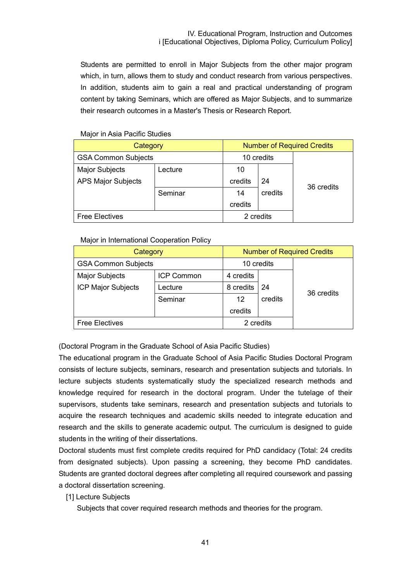Students are permitted to enroll in Major Subjects from the other major program which, in turn, allows them to study and conduct research from various perspectives. In addition, students aim to gain a real and practical understanding of program content by taking Seminars, which are offered as Major Subjects, and to summarize their research outcomes in a Master's Thesis or Research Report.

| Category                   |         | <b>Number of Required Credits</b> |           |            |
|----------------------------|---------|-----------------------------------|-----------|------------|
| <b>GSA Common Subjects</b> |         | 10 credits                        |           |            |
| <b>Major Subjects</b>      | Lecture | 10                                |           |            |
| <b>APS Major Subjects</b>  |         | credits                           | 24        | 36 credits |
|                            | Seminar | 14                                | credits   |            |
|                            |         | credits                           |           |            |
| <b>Free Electives</b>      |         |                                   | 2 credits |            |

### Major in Asia Pacific Studies

#### Major in International Cooperation Policy

| Category                   |                   | <b>Number of Required Credits</b> |           |            |
|----------------------------|-------------------|-----------------------------------|-----------|------------|
| <b>GSA Common Subjects</b> |                   | 10 credits                        |           |            |
| <b>Major Subjects</b>      | <b>ICP Common</b> | 4 credits                         |           |            |
| <b>ICP Major Subjects</b>  | Lecture           | 8 credits                         | 24        | 36 credits |
|                            | Seminar           | 12                                | credits   |            |
|                            |                   | credits                           |           |            |
| <b>Free Electives</b>      |                   |                                   | 2 credits |            |

(Doctoral Program in the Graduate School of Asia Pacific Studies)

The educational program in the Graduate School of Asia Pacific Studies Doctoral Program consists of lecture subjects, seminars, research and presentation subjects and tutorials. In lecture subjects students systematically study the specialized research methods and knowledge required for research in the doctoral program. Under the tutelage of their supervisors, students take seminars, research and presentation subjects and tutorials to acquire the research techniques and academic skills needed to integrate education and research and the skills to generate academic output. The curriculum is designed to guide students in the writing of their dissertations.

Doctoral students must first complete credits required for PhD candidacy (Total: 24 credits from designated subjects). Upon passing a screening, they become PhD candidates. Students are granted doctoral degrees after completing all required coursework and passing a doctoral dissertation screening.

#### [1] Lecture Subjects

Subjects that cover required research methods and theories for the program.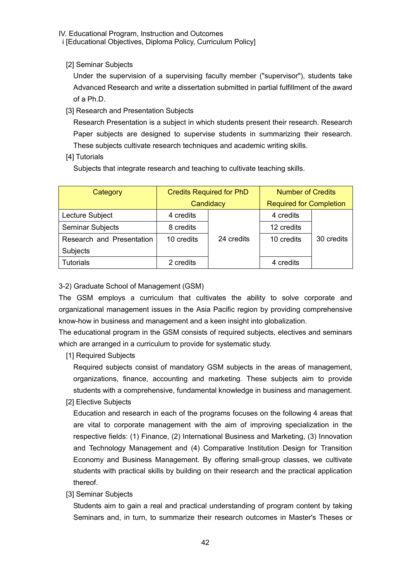[2] Seminar Subjects

Under the supervision of a supervising faculty member ("supervisor"), students take Advanced Research and write a dissertation submitted in partial fulfillment of the award of a Ph.D.

[3] Research and Presentation Subjects

Research Presentation is a subject in which students present their research. Research Paper subjects are designed to supervise students in summarizing their research. These subjects cultivate research techniques and academic writing skills.

### [4] Tutorials

Subjects that integrate research and teaching to cultivate teaching skills.

| Category                  | <b>Credits Required for PhD</b> |            | <b>Number of Credits</b>       |            |
|---------------------------|---------------------------------|------------|--------------------------------|------------|
|                           | Candidacy                       |            | <b>Required for Completion</b> |            |
| Lecture Subject           | 4 credits                       |            | 4 credits                      |            |
| Seminar Subjects          | 8 credits                       |            | 12 credits                     |            |
| Research and Presentation | 10 credits                      | 24 credits | 10 credits                     | 30 credits |
| Subjects                  |                                 |            |                                |            |
| <b>Tutorials</b>          | 2 credits                       |            | 4 credits                      |            |

# 3-2) Graduate School of Management (GSM)

The GSM employs a curriculum that cultivates the ability to solve corporate and organizational management issues in the Asia Pacific region by providing comprehensive know-how in business and management and a keen insight into globalization.

The educational program in the GSM consists of required subjects, electives and seminars which are arranged in a curriculum to provide for systematic study.

[1] Required Subjects

Required subjects consist of mandatory GSM subjects in the areas of management, organizations, finance, accounting and marketing. These subjects aim to provide students with a comprehensive, fundamental knowledge in business and management.

[2] Elective Subjects

Education and research in each of the programs focuses on the following 4 areas that are vital to corporate management with the aim of improving specialization in the respective fields: (1) Finance, (2) International Business and Marketing, (3) Innovation and Technology Management and (4) Comparative Institution Design for Transition Economy and Business Management. By offering small-group classes, we cultivate students with practical skills by building on their research and the practical application thereof.

[3] Seminar Subjects

Students aim to gain a real and practical understanding of program content by taking Seminars and, in turn, to summarize their research outcomes in Master's Theses or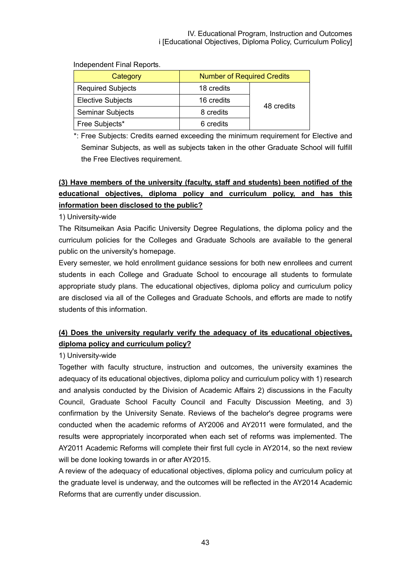| Category                 | <b>Number of Required Credits</b> |            |  |
|--------------------------|-----------------------------------|------------|--|
| <b>Required Subjects</b> | 18 credits                        |            |  |
| <b>Elective Subjects</b> | 16 credits                        |            |  |
| Seminar Subjects         | 8 credits                         | 48 credits |  |
| Free Subjects*           | 6 credits                         |            |  |

Independent Final Reports.

\*: Free Subjects: Credits earned exceeding the minimum requirement for Elective and Seminar Subjects, as well as subjects taken in the other Graduate School will fulfill the Free Electives requirement.

# **(3) Have members of the university (faculty, staff and students) been notified of the educational objectives, diploma policy and curriculum policy, and has this information been disclosed to the public?**

1) University-wide

The Ritsumeikan Asia Pacific University Degree Regulations, the diploma policy and the curriculum policies for the Colleges and Graduate Schools are available to the general public on the university's homepage.

Every semester, we hold enrollment guidance sessions for both new enrollees and current students in each College and Graduate School to encourage all students to formulate appropriate study plans. The educational objectives, diploma policy and curriculum policy are disclosed via all of the Colleges and Graduate Schools, and efforts are made to notify students of this information.

# **(4) Does the university regularly verify the adequacy of its educational objectives, diploma policy and curriculum policy?**

1) University-wide

Together with faculty structure, instruction and outcomes, the university examines the adequacy of its educational objectives, diploma policy and curriculum policy with 1) research and analysis conducted by the Division of Academic Affairs 2) discussions in the Faculty Council, Graduate School Faculty Council and Faculty Discussion Meeting, and 3) confirmation by the University Senate. Reviews of the bachelor's degree programs were conducted when the academic reforms of AY2006 and AY2011 were formulated, and the results were appropriately incorporated when each set of reforms was implemented. The AY2011 Academic Reforms will complete their first full cycle in AY2014, so the next review will be done looking towards in or after AY2015.

A review of the adequacy of educational objectives, diploma policy and curriculum policy at the graduate level is underway, and the outcomes will be reflected in the AY2014 Academic Reforms that are currently under discussion.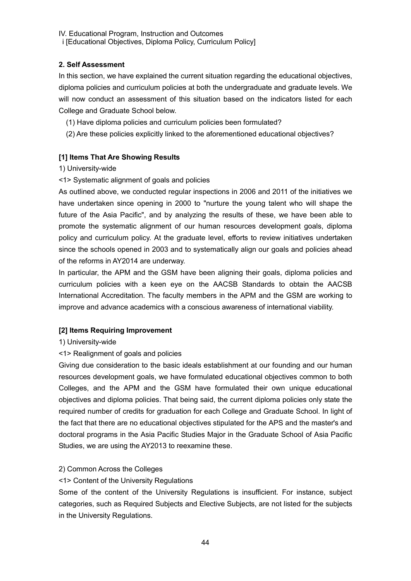# **2. Self Assessment**

In this section, we have explained the current situation regarding the educational objectives, diploma policies and curriculum policies at both the undergraduate and graduate levels. We will now conduct an assessment of this situation based on the indicators listed for each College and Graduate School below.

- (1) Have diploma policies and curriculum policies been formulated?
- (2) Are these policies explicitly linked to the aforementioned educational objectives?

# **[1] Items That Are Showing Results**

### 1) University-wide

<1> Systematic alignment of goals and policies

As outlined above, we conducted regular inspections in 2006 and 2011 of the initiatives we have undertaken since opening in 2000 to "nurture the young talent who will shape the future of the Asia Pacific", and by analyzing the results of these, we have been able to promote the systematic alignment of our human resources development goals, diploma policy and curriculum policy. At the graduate level, efforts to review initiatives undertaken since the schools opened in 2003 and to systematically align our goals and policies ahead of the reforms in AY2014 are underway.

In particular, the APM and the GSM have been aligning their goals, diploma policies and curriculum policies with a keen eye on the AACSB Standards to obtain the AACSB International Accreditation. The faculty members in the APM and the GSM are working to improve and advance academics with a conscious awareness of international viability.

# **[2] Items Requiring Improvement**

# 1) University-wide

# <1> Realignment of goals and policies

Giving due consideration to the basic ideals establishment at our founding and our human resources development goals, we have formulated educational objectives common to both Colleges, and the APM and the GSM have formulated their own unique educational objectives and diploma policies. That being said, the current diploma policies only state the required number of credits for graduation for each College and Graduate School. In light of the fact that there are no educational objectives stipulated for the APS and the master's and doctoral programs in the Asia Pacific Studies Major in the Graduate School of Asia Pacific Studies, we are using the AY2013 to reexamine these.

### 2) Common Across the Colleges

# <1> Content of the University Regulations

Some of the content of the University Regulations is insufficient. For instance, subject categories, such as Required Subjects and Elective Subjects, are not listed for the subjects in the University Regulations.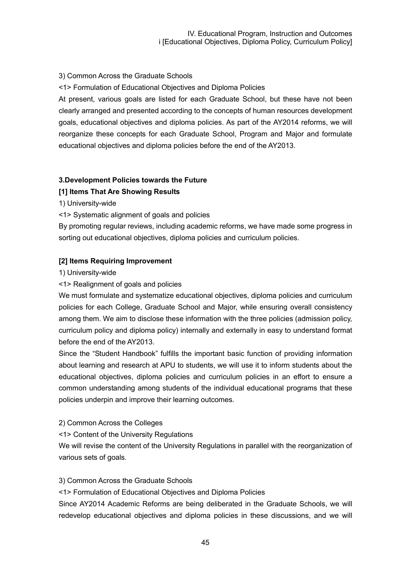# 3) Common Across the Graduate Schools

<1> Formulation of Educational Objectives and Diploma Policies

At present, various goals are listed for each Graduate School, but these have not been clearly arranged and presented according to the concepts of human resources development goals, educational objectives and diploma policies. As part of the AY2014 reforms, we will reorganize these concepts for each Graduate School, Program and Major and formulate educational objectives and diploma policies before the end of the AY2013.

# **3.Development Policies towards the Future**

# **[1] Items That Are Showing Results**

1) University-wide

<1> Systematic alignment of goals and policies

By promoting regular reviews, including academic reforms, we have made some progress in sorting out educational objectives, diploma policies and curriculum policies.

### **[2] Items Requiring Improvement**

1) University-wide

<1> Realignment of goals and policies

We must formulate and systematize educational objectives, diploma policies and curriculum policies for each College, Graduate School and Major, while ensuring overall consistency among them. We aim to disclose these information with the three policies (admission policy, curriculum policy and diploma policy) internally and externally in easy to understand format before the end of the AY2013.

Since the "Student Handbook" fulfills the important basic function of providing information about learning and research at APU to students, we will use it to inform students about the educational objectives, diploma policies and curriculum policies in an effort to ensure a common understanding among students of the individual educational programs that these policies underpin and improve their learning outcomes.

### 2) Common Across the Colleges

### <1> Content of the University Regulations

We will revise the content of the University Regulations in parallel with the reorganization of various sets of goals.

### 3) Common Across the Graduate Schools

<1> Formulation of Educational Objectives and Diploma Policies

Since AY2014 Academic Reforms are being deliberated in the Graduate Schools, we will redevelop educational objectives and diploma policies in these discussions, and we will